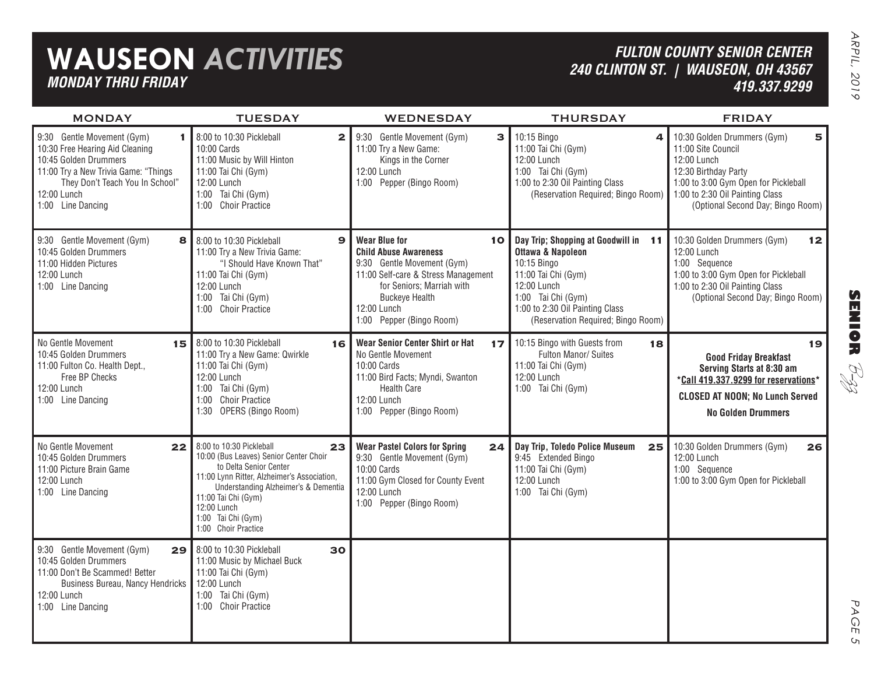# **WAUSEON** *ACTIVITIES MONDAY THRU FRIDAY*

### *FULTON COUNTY SENIOR CENTER 240 CLINTON ST. | WAUSEON, OH 43567 419.337.9299*

| <b>MONDAY</b>                                                                                                                                                                                              | <b>TUESDAY</b>                                                                                                                                                                                                                                                               | <b>WEDNESDAY</b>                                                                                                                                                                                                                 | <b>THURSDAY</b>                                                                                                                                                                                                          | <b>FRIDAY</b>                                                                                                                                                                                                                       |
|------------------------------------------------------------------------------------------------------------------------------------------------------------------------------------------------------------|------------------------------------------------------------------------------------------------------------------------------------------------------------------------------------------------------------------------------------------------------------------------------|----------------------------------------------------------------------------------------------------------------------------------------------------------------------------------------------------------------------------------|--------------------------------------------------------------------------------------------------------------------------------------------------------------------------------------------------------------------------|-------------------------------------------------------------------------------------------------------------------------------------------------------------------------------------------------------------------------------------|
| 9:30 Gentle Movement (Gym)<br>1<br>10:30 Free Hearing Aid Cleaning<br>10:45 Golden Drummers<br>11:00 Try a New Trivia Game: "Things<br>They Don't Teach You In School"<br>12:00 Lunch<br>1:00 Line Dancing | 8:00 to 10:30 Pickleball<br>$\mathbf{2}$<br>$10:00$ Cards<br>11:00 Music by Will Hinton<br>11:00 Tai Chi (Gym)<br>12:00 Lunch<br>1:00 Tai Chi (Gym)<br>1:00 Choir Practice                                                                                                   | 9:30 Gentle Movement (Gym)<br>$\mathbf{3}$<br>11:00 Try a New Game:<br>Kings in the Corner<br>12:00 Lunch<br>1:00 Pepper (Bingo Room)                                                                                            | 10:15 Bingo<br>4<br>11:00 Tai Chi (Gym)<br>12:00 Lunch<br>1:00 Tai Chi (Gym)<br>1:00 to 2:30 Oil Painting Class<br>(Reservation Required; Bingo Room)                                                                    | 10:30 Golden Drummers (Gym)<br>$\overline{\mathbf{5}}$<br>11:00 Site Council<br>12:00 Lunch<br>12:30 Birthday Party<br>1:00 to 3:00 Gym Open for Pickleball<br>1:00 to 2:30 Oil Painting Class<br>(Optional Second Day; Bingo Room) |
| 9:30 Gentle Movement (Gym)<br>8<br>10:45 Golden Drummers<br>11:00 Hidden Pictures<br>12:00 Lunch<br>1:00 Line Dancing                                                                                      | 8:00 to 10:30 Pickleball<br>$\mathbf{9}$<br>11:00 Try a New Trivia Game:<br>"I Should Have Known That"<br>11:00 Tai Chi (Gym)<br>12:00 Lunch<br>1:00 Tai Chi (Gym)<br>1:00 Choir Practice                                                                                    | <b>Wear Blue for</b><br>10<br><b>Child Abuse Awareness</b><br>9:30 Gentle Movement (Gym)<br>11:00 Self-care & Stress Management<br>for Seniors; Marriah with<br><b>Buckeye Health</b><br>12:00 Lunch<br>1:00 Pepper (Bingo Room) | Day Trip; Shopping at Goodwill in 11<br><b>Ottawa &amp; Napoleon</b><br>10:15 Bingo<br>11:00 Tai Chi (Gym)<br>12:00 Lunch<br>1:00 Tai Chi (Gym)<br>1:00 to 2:30 Oil Painting Class<br>(Reservation Required; Bingo Room) | 10:30 Golden Drummers (Gym)<br>12<br>12:00 Lunch<br>1:00 Sequence<br>1:00 to 3:00 Gym Open for Pickleball<br>1:00 to 2:30 Oil Painting Class<br>(Optional Second Day; Bingo Room)                                                   |
| No Gentle Movement<br>15<br>10:45 Golden Drummers<br>11:00 Fulton Co. Health Dept.,<br>Free BP Checks<br>12:00 Lunch<br>1:00 Line Dancing                                                                  | 8:00 to 10:30 Pickleball<br>16<br>11:00 Try a New Game: Qwirkle<br>11:00 Tai Chi (Gym)<br>12:00 Lunch<br>1:00 Tai Chi (Gym)<br>1:00 Choir Practice<br>1:30 OPERS (Bingo Room)                                                                                                | <b>Wear Senior Center Shirt or Hat</b><br>17 <sub>1</sub><br>No Gentle Movement<br>10:00 Cards<br>11:00 Bird Facts; Myndi, Swanton<br><b>Health Care</b><br>12:00 Lunch<br>1:00 Pepper (Bingo Room)                              | 10:15 Bingo with Guests from<br>18<br>Fulton Manor/ Suites<br>11:00 Tai Chi (Gym)<br>12:00 Lunch<br>1:00 Tai Chi (Gym)                                                                                                   | 19<br><b>Good Friday Breakfast</b><br>Serving Starts at 8:30 am<br>*Call 419.337.9299 for reservations*<br><b>CLOSED AT NOON; No Lunch Served</b><br><b>No Golden Drummers</b>                                                      |
| No Gentle Movement<br>22<br>10:45 Golden Drummers<br>11:00 Picture Brain Game<br>12:00 Lunch<br>1:00 Line Dancing                                                                                          | 8:00 to 10:30 Pickleball<br>23<br>10:00 (Bus Leaves) Senior Center Choir<br>to Delta Senior Center<br>11:00 Lynn Ritter, Alzheimer's Association,<br>Understanding Alzheimer's & Dementia<br>11:00 Tai Chi (Gym)<br>12:00 Lunch<br>1:00 Tai Chi (Gym)<br>1:00 Choir Practice | <b>Wear Pastel Colors for Spring</b><br>24<br>9:30 Gentle Movement (Gym)<br>10:00 Cards<br>11:00 Gym Closed for County Event<br>12:00 Lunch<br>1:00 Pepper (Bingo Room)                                                          | Day Trip, Toledo Police Museum<br>25<br>9:45 Extended Bingo<br>11:00 Tai Chi (Gym)<br>12:00 Lunch<br>1:00 Tai Chi (Gym)                                                                                                  | 10:30 Golden Drummers (Gym)<br>26<br>12:00 Lunch<br>1:00 Sequence<br>1:00 to 3:00 Gym Open for Pickleball                                                                                                                           |
| 9:30 Gentle Movement (Gym)<br>29<br>10:45 Golden Drummers<br>11:00 Don't Be Scammed! Better<br>Business Bureau, Nancy Hendricks<br>12:00 Lunch<br>1:00 Line Dancing                                        | 8:00 to 10:30 Pickleball<br>30<br>11:00 Music by Michael Buck<br>11:00 Tai Chi (Gym)<br>12:00 Lunch<br>1:00 Tai Chi (Gym)<br>1:00 Choir Practice                                                                                                                             |                                                                                                                                                                                                                                  |                                                                                                                                                                                                                          |                                                                                                                                                                                                                                     |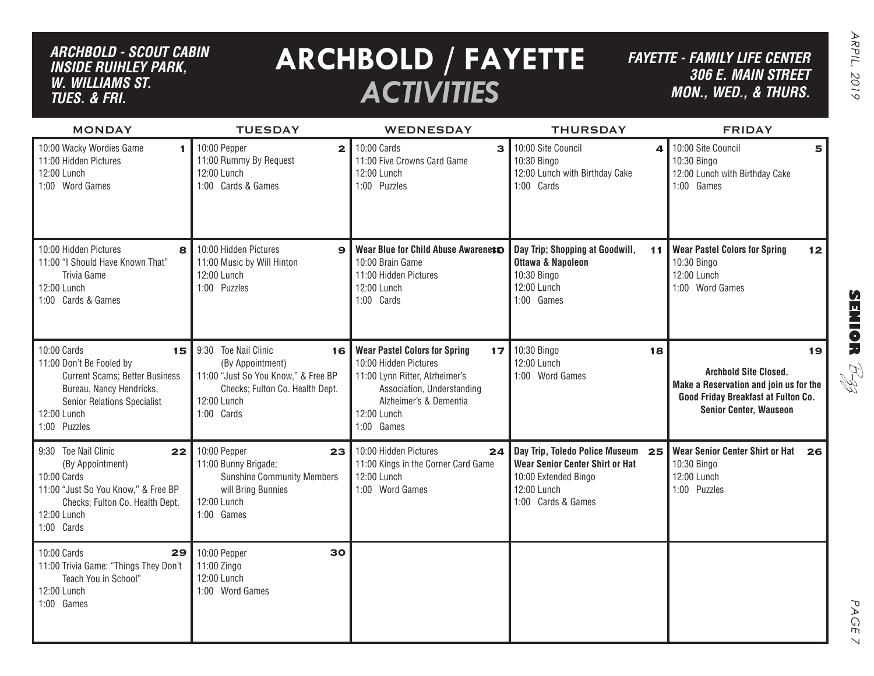## *ARCHBOLD - SCOUT CABIN inside ruihley park, w. williams st. tues. & FRI.*

# **ARCHBOLD / FAYETTE** *ACTIVITIES*

*FAYETTE - FAMILY LIFE CENTER306 E. Main Street MON., Wed., & THURS.*

| <b>MONDAY</b>                                                                                                                                                                           | <b>TUESDAY</b>                                                                                                                                        | WEDNESDAY                                                                                                                                                                                  | <b>THURSDAY</b>                                                                                                                      | <b>FRIDAY</b>                                                                                                                                        |
|-----------------------------------------------------------------------------------------------------------------------------------------------------------------------------------------|-------------------------------------------------------------------------------------------------------------------------------------------------------|--------------------------------------------------------------------------------------------------------------------------------------------------------------------------------------------|--------------------------------------------------------------------------------------------------------------------------------------|------------------------------------------------------------------------------------------------------------------------------------------------------|
| 10:00 Wacky Wordies Game<br>1.<br>11:00 Hidden Pictures<br>12:00 Lunch<br>1:00 Word Games                                                                                               | 10:00 Pepper<br>2 <sup>1</sup><br>11:00 Rummy By Request<br>12:00 Lunch<br>1:00 Cards & Games                                                         | 10:00 Cards<br>3<br>11:00 Five Crowns Card Game<br>12:00 Lunch<br>1:00 Puzzles                                                                                                             | 10:00 Site Council<br>$\Delta$<br>10:30 Bingo<br>12:00 Lunch with Birthday Cake<br>1:00 Cards                                        | 10:00 Site Council<br>5<br>10:30 Bingo<br>12:00 Lunch with Birthday Cake<br>1:00 Games                                                               |
| 10:00 Hidden Pictures<br>8<br>11:00 "I Should Have Known That"<br>Trivia Game<br>12:00 Lunch<br>1:00 Cards & Games                                                                      | 10:00 Hidden Pictures<br>$\mathbf{9}$<br>11:00 Music by Will Hinton<br>12:00 Lunch<br>1:00 Puzzles                                                    | Wear Blue for Child Abuse Awarenets<br>10:00 Brain Game<br>11:00 Hidden Pictures<br>12:00 Lunch<br>1:00 Cards                                                                              | Day Trip; Shopping at Goodwill,<br>11<br><b>Ottawa &amp; Napoleon</b><br>10:30 Bingo<br>12:00 Lunch<br>1:00 Games                    | <b>Wear Pastel Colors for Spring</b><br>12<br>10:30 Bingo<br>12:00 Lunch<br>1:00 Word Games                                                          |
| 10:00 Cards<br>15<br>11:00 Don't Be Fooled by<br><b>Current Scams; Better Business</b><br>Bureau, Nancy Hendricks,<br><b>Senior Relations Specialist</b><br>12:00 Lunch<br>1:00 Puzzles | 9:30 Toe Nail Clinic<br>16<br>(By Appointment)<br>11:00 "Just So You Know," & Free BP<br>Checks; Fulton Co. Health Dept.<br>12:00 Lunch<br>1:00 Cards | <b>Wear Pastel Colors for Spring</b><br>17<br>10:00 Hidden Pictures<br>11:00 Lynn Ritter, Alzheimer's<br>Association, Understanding<br>Alzheimer's & Dementia<br>12:00 Lunch<br>1:00 Games | 10:30 Bingo<br>18<br>12:00 Lunch<br>1:00 Word Games                                                                                  | 19<br><b>Archbold Site Closed.</b><br>Make a Reservation and join us for the<br>Good Friday Breakfast at Fulton Co.<br><b>Senior Center, Wauseon</b> |
| 9:30 Toe Nail Clinic<br>22<br>(By Appointment)<br>10:00 Cards<br>11:00 "Just So You Know," & Free BP<br>Checks; Fulton Co. Health Dept.<br>12:00 Lunch<br>1:00 Cards                    | 10:00 Pepper<br>23 <sup>1</sup><br>11:00 Bunny Brigade;<br><b>Sunshine Community Members</b><br>will Bring Bunnies<br>12:00 Lunch<br>1:00 Games       | 10:00 Hidden Pictures<br>24<br>11:00 Kings in the Corner Card Game<br>12:00 Lunch<br>1:00 Word Games                                                                                       | Day Trip, Toledo Police Museum<br>25<br>Wear Senior Center Shirt or Hat<br>10:00 Extended Bingo<br>12:00 Lunch<br>1:00 Cards & Games | <b>Wear Senior Center Shirt or Hat</b><br>26<br>10:30 Bingo<br>12:00 Lunch<br>1:00 Puzzles                                                           |
| 10:00 Cards<br>29<br>11:00 Trivia Game: "Things They Don't<br>Teach You in School"<br>12:00 Lunch<br>1:00 Games                                                                         | 10:00 Pepper<br>30<br>11:00 Zingo<br>12:00 Lunch<br>1:00 Word Games                                                                                   |                                                                                                                                                                                            |                                                                                                                                      |                                                                                                                                                      |

PAGE PAGE 7  $\vee$